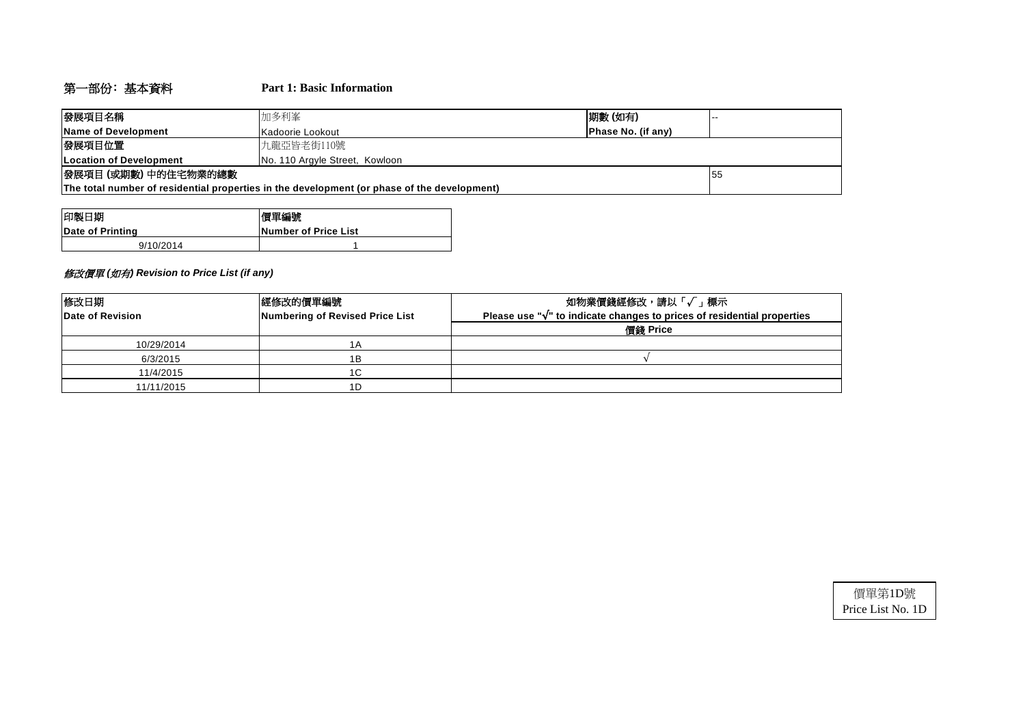# 第一部份﹕基本資料 **Part 1: Basic Information**

| 發展項目名稱                          | 加多利峯                                                                                        | 期數(如有) | . |  |  |  |  |  |  |
|---------------------------------|---------------------------------------------------------------------------------------------|--------|---|--|--|--|--|--|--|
| Name of Development             | Phase No. (if any)<br>Kadoorie Lookout                                                      |        |   |  |  |  |  |  |  |
| 發展項目位置<br>九龍亞皆老街110號            |                                                                                             |        |   |  |  |  |  |  |  |
| <b>ILocation of Development</b> | No. 110 Argyle Street, Kowloon                                                              |        |   |  |  |  |  |  |  |
| 發展項目 (或期數) 中的住宅物業的總數            | 155                                                                                         |        |   |  |  |  |  |  |  |
|                                 | The total number of residential properties in the development (or phase of the development) |        |   |  |  |  |  |  |  |

| 印製日期             | 價單編號                  |
|------------------|-----------------------|
| Date of Printing | lNumber of Price List |
| 9/10/2014        |                       |

## 修改價單 *(*如有*) Revision to Price List (if any)*

| 修改日期<br>Date of Revision | 經修改的價單編號<br>Numbering of Revised Price List | 如物業價錢經修改,請以「√」標示<br>Please use " $\sqrt{ }$ " to indicate changes to prices of residential properties |
|--------------------------|---------------------------------------------|-------------------------------------------------------------------------------------------------------|
|                          |                                             | 價錢 Price                                                                                              |
| 10/29/2014               | 1 A                                         |                                                                                                       |
| 6/3/2015                 | 1Β                                          |                                                                                                       |
| 11/4/2015                | 1C                                          |                                                                                                       |
| 11/11/2015               | 1D                                          |                                                                                                       |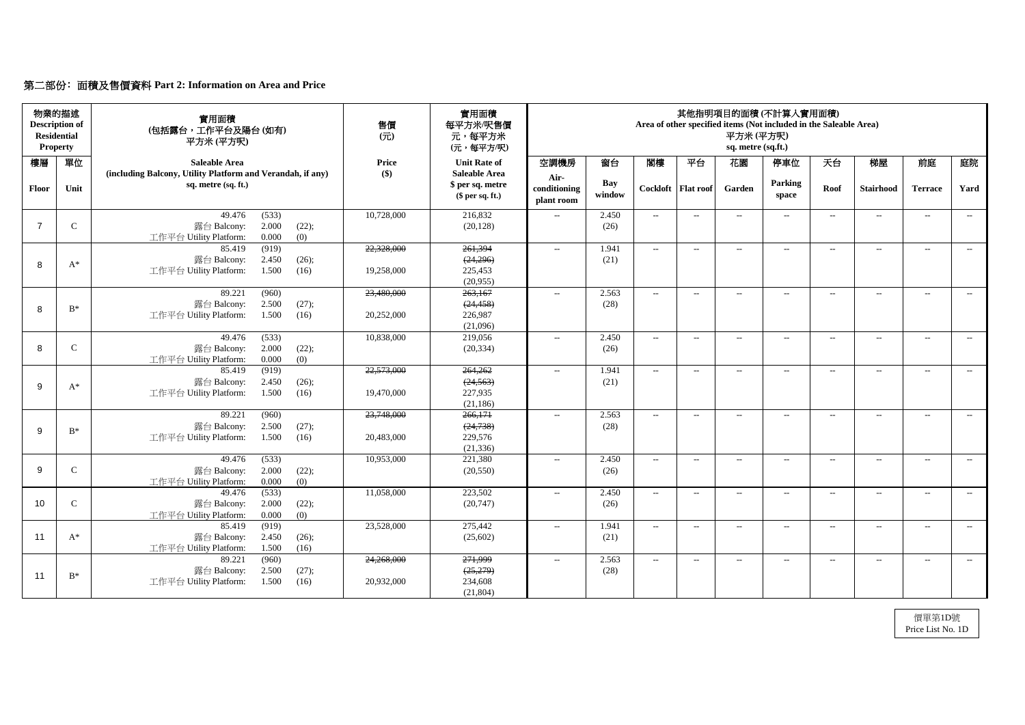# 第二部份﹕面積及售價資料 **Part 2: Information on Area and Price**

| 物業的描述<br><b>Description of</b><br><b>Residential</b><br><b>Property</b> |               | 實用面積<br>(包括露台,工作平台及陽台(如有)<br>平方米(平方呎)                                                       | 售價<br>$\overline{(\overline{\pi})}$ | 實用面積<br>每平方米/呎售價<br>元,每平方米<br>(元,每平方/呎)                    |                                    |               |                             |                            | 平方米(平方呎)<br>sq. metre (sq.ft.) | 其他指明項目的面積(不計算入實用面積)<br>Area of other specified items (Not included in the Saleable Area) |       |                  |                |       |
|-------------------------------------------------------------------------|---------------|---------------------------------------------------------------------------------------------|-------------------------------------|------------------------------------------------------------|------------------------------------|---------------|-----------------------------|----------------------------|--------------------------------|------------------------------------------------------------------------------------------|-------|------------------|----------------|-------|
| 樓層                                                                      | 單位            | <b>Saleable Area</b>                                                                        | <b>Price</b>                        | <b>Unit Rate of</b>                                        | 空調機房                               | 窗台            | 閣樓                          | 平台                         | 花園                             | 停車位                                                                                      | 天台    | 梯屋               | 前庭             | 庭院    |
| <b>Floor</b>                                                            | Unit          | (including Balcony, Utility Platform and Verandah, if any)<br>sq. metre (sq. ft.)           | $\left( \text{\$}\right)$           | <b>Saleable Area</b><br>\$ per sq. metre<br>\$per sq. ft.) | Air-<br>conditioning<br>plant room | Bay<br>window |                             | Cockloft   Flat roof       | Garden                         | Parking<br>space                                                                         | Roof  | <b>Stairhood</b> | <b>Terrace</b> | Yard  |
|                                                                         | $\mathbf C$   | (533)<br>49.476<br>2.000<br>(22);<br>露台 Balcony:<br>0.000<br>工作平台 Utility Platform:<br>(0)  | 10,728,000                          | 216,832<br>(20, 128)                                       | $-$                                | 2.450<br>(26) | $  \,$                      | $---$                      | $\overline{\phantom{a}}$       | $---$                                                                                    | $---$ | $- -$            | $--$           | $---$ |
|                                                                         |               | (919)<br>85.419<br>2.450<br>露台 Balcony:<br>(26);                                            | 22,328,000                          | 261,394<br>(24,296)                                        | $\mathcal{L}_{\mathcal{L}}$        | 1.941<br>(21) | $\sim$                      | $--$                       | $--$                           | $---$                                                                                    | $---$ | $--$             | $---$          | $--$  |
| 8                                                                       | $A^*$         | 1.500<br>工作平台 Utility Platform:<br>(16)                                                     | 19,258,000                          | 225,453<br>(20,955)                                        |                                    |               |                             |                            |                                |                                                                                          |       |                  |                |       |
| 8                                                                       | $B^*$         | 89.221<br>(960)<br>2.500<br>(27);<br>露台 Balcony:<br>1.500<br>工作平台 Utility Platform:<br>(16) | 23,480,000<br>20,252,000            | 263,167<br>(24, 458)<br>226,987                            | $\mathcal{L}_{\mathcal{L}}$        | 2.563<br>(28) | $-$                         | $--$                       | $--$                           | $\overline{\phantom{a}}$                                                                 | $---$ | $--$             | $--$           | $--$  |
|                                                                         |               | 49.476                                                                                      | 10,838,000                          | (21,096)<br>219,056                                        |                                    | 2.450         |                             |                            |                                |                                                                                          |       |                  |                |       |
| 8                                                                       | $\mathsf{C}$  | (533)<br>2.000<br>(22);<br>露台 Balcony:<br>工作平台 Utility Platform:<br>0.000<br>(0)            |                                     | (20, 334)                                                  | $--$                               | (26)          | $--$                        | $--$                       | $--$                           | $\overline{\phantom{a}}$                                                                 | $--$  | $---$            | $--$           | $---$ |
| 9                                                                       | $A^*$         | (919)<br>85.419<br>露台 Balcony:<br>2.450<br>(26);<br>工作平台 Utility Platform:<br>1.500<br>(16) | 22,573,000<br>19,470,000            | 264,262<br>(24, 563)<br>227,935<br>(21, 186)               | $- -$                              | 1.941<br>(21) | $  \,$                      | $--$                       | $--$                           | $--$                                                                                     | $-$   | $---$            | $---$          | $---$ |
| $\mathsf{Q}$                                                            | $B^*$         | 89.221<br>(960)<br>2.500<br>(27);<br>露台 Balcony:                                            | 23,748,000                          | 266,171<br>(24, 738)                                       | $--$                               | 2.563<br>(28) | $--$                        | $--$                       | $\qquad \qquad -$              | $--$                                                                                     | $---$ | $--$             | $--$           | $--$  |
|                                                                         |               | 工作平台 Utility Platform: 1.500 (16)                                                           | 20,483,000                          | 229,576<br>(21, 336)                                       |                                    |               |                             |                            |                                |                                                                                          |       |                  |                |       |
| 9                                                                       | $\mathcal{C}$ | 49.476<br>(533)<br>露台 Balcony:<br>2.000<br>(22);<br>工作平台 Utility Platform:<br>0.000<br>(0)  | 10,953,000                          | 221,380<br>(20, 550)                                       | $- -$                              | 2.450<br>(26) | $\mathcal{L}_{\mathcal{F}}$ | $--$                       | $\qquad \qquad -$              | $--$                                                                                     | $---$ | $--$             | $--$           | $--$  |
| 10                                                                      | $\mathcal{C}$ | (533)<br>49.476<br>露台 Balcony:<br>2.000<br>(22);<br>0.000<br>工作平台 Utility Platform:<br>(0)  | 11,058,000                          | 223,502<br>(20, 747)                                       | $- -$                              | 2.450<br>(26) | $\overline{\phantom{a}}$    | $ \!-$                     | $\overline{\phantom{a}}$       | $\overline{\phantom{a}}$                                                                 | $---$ | $- -$            | $--$           | $--$  |
| 11                                                                      | $A^*$         | 85.419<br>(919)<br>露台 Balcony:<br>2.450<br>(26);<br>工作平台 Utility Platform:<br>1.500<br>(16) | 23,528,000                          | 275,442<br>(25,602)                                        | $\overline{\phantom{a}}$           | 1.941<br>(21) | $\mathcal{L}_{\mathcal{L}}$ | $\mathcal{L}(\mathcal{L})$ | $\rightarrow$                  | $ -$                                                                                     | $--$  | $--$             | $--$           | $--$  |
| 11                                                                      | $B^*$         | 89.221<br>(960)<br>露台 Balcony:<br>2.500<br>(27);<br>工作平台 Utility Platform:<br>1.500<br>(16) | 24,268,000<br>20,932,000            | 271,999<br>(25,279)<br>234,608<br>(21, 804)                | $- -$                              | 2.563<br>(28) | $\mathcal{L}_{\mathcal{L}}$ | $\overline{\phantom{m}}$   | $\rightarrow$                  | $\overline{\phantom{m}}$                                                                 | $---$ | $- -$            | $--$           | $---$ |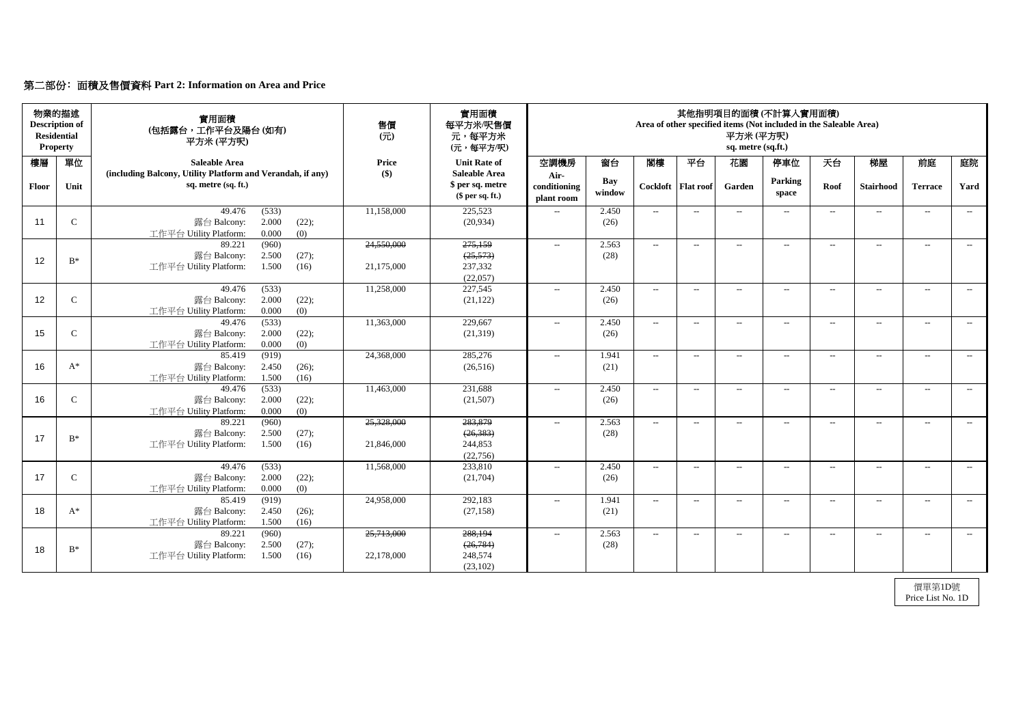# 第二部份﹕面積及售價資料 **Part 2: Information on Area and Price**

| 物業的描述<br><b>Description of</b><br><b>Residential</b><br><b>Property</b> |                | 實用面積<br>(包括露台,工作平台及陽台(如有)<br>平方米(平方呎)                                                       | 售價<br>$($ $\overrightarrow{\pi}$ $)$ | 實用面積<br>每平方米/呎售價<br>元,每平方米<br>(元,每平方/呎)                    | 其他指明項目的面積(不計算入實用面積)<br>Area of other specified items (Not included in the Saleable Area)<br>平方米(平方呎)<br>sq. metre (sq.ft.) |                      |                          |                      |                          |                               |       |                   |                |       |
|-------------------------------------------------------------------------|----------------|---------------------------------------------------------------------------------------------|--------------------------------------|------------------------------------------------------------|----------------------------------------------------------------------------------------------------------------------------|----------------------|--------------------------|----------------------|--------------------------|-------------------------------|-------|-------------------|----------------|-------|
| 樓層                                                                      | 單位             | <b>Saleable Area</b>                                                                        | <b>Price</b>                         | <b>Unit Rate of</b>                                        | 空調機房                                                                                                                       | 窗台                   | 閣樓                       | 平台                   | 花園                       | 停車位                           | 天台    | 梯屋                | 前庭             | 庭院    |
| Floor                                                                   | Unit           | (including Balcony, Utility Platform and Verandah, if any)<br>sq. metre (sq. ft.)           | $\left( \text{\$}\right)$            | <b>Saleable Area</b><br>\$ per sq. metre<br>\$per sq. ft.) | Air-<br>conditioning<br>plant room                                                                                         | <b>Bay</b><br>window |                          | Cockloft   Flat roof | Garden                   | <b>Parking</b><br>space       | Roof  | <b>Stairhood</b>  | <b>Terrace</b> | Yard  |
| 11                                                                      | $\mathsf{C}$   | (533)<br>49.476<br>2.000<br>露台 Balcony:<br>(22);<br>0.000<br>(0)<br>工作平台 Utility Platform:  | 11,158,000                           | 225,523<br>(20, 934)                                       | $- -$                                                                                                                      | 2.450<br>(26)        | $--$                     | $---$                | $\overline{\phantom{a}}$ | $\overline{\phantom{a}}$      | $---$ | $--$              | $--$           | $---$ |
| 12                                                                      | $B^*$          | (960)<br>89.221<br>2.500<br>(27);<br>露台 Balcony:<br>工作平台 Utility Platform:<br>1.500<br>(16) | 24,550,000<br>21,175,000             | 275,159<br>(25, 573)<br>237,332<br>(22,057)                | $\mathcal{L}_{\mathcal{L}}$                                                                                                | 2.563<br>(28)        | $--$                     | $--$                 | $--$                     | $\overline{\phantom{a}}$      | $---$ | $--$              | $--$           | $--$  |
| 12                                                                      | $\mathbf C$    | 49.476<br>(533)<br>2.000<br>(22);<br>露台 Balcony:<br>工作平台 Utility Platform:<br>0.000<br>(0)  | 11,258,000                           | 227,545<br>(21, 122)                                       | $--$                                                                                                                       | 2.450<br>(26)        | $\overline{\phantom{a}}$ | $--$                 | $--$                     | $--$                          | $---$ | $--$              | $--$           | $--$  |
| 15                                                                      | $\mathsf{C}$   | 49.476<br>(533)<br>2.000<br>露台 Balcony:<br>(22);<br>0.000<br>(0)<br>工作平台 Utility Platform:  | 11,363,000                           | 229,667<br>(21,319)                                        | $- -$                                                                                                                      | 2.450<br>(26)        | $--$                     | $--$                 | $\qquad \qquad -$        | $---$                         | $---$ | $\qquad \qquad -$ | $--$           | $---$ |
| 16                                                                      | $A^*$          | (919)<br>85.419<br>露台 Balcony:<br>2.450<br>(26);<br>工作平台 Utility Platform:<br>1.500<br>(16) | 24,368,000                           | 285,276<br>(26,516)                                        | $--$                                                                                                                       | 1.941<br>(21)        | $\sim$                   | $--$                 | $\qquad \qquad -$        | $--$                          | $---$ | $\qquad \qquad -$ | $--$           | $--$  |
| 16                                                                      | $\mathbf C$    | (533)<br>49.476<br>2.000<br>(22);<br>露台 Balcony:<br>0.000<br>(0)<br>工作平台 Utility Platform:  | 11,463,000                           | 231,688<br>(21,507)                                        | $- -$                                                                                                                      | 2.450<br>(26)        | $--$                     | $--$                 | $\overline{\phantom{a}}$ | $--$                          | $--$  | $ -$              | $--$           | $--$  |
| 17                                                                      | $B^*$          | 89.221<br>(960)<br>露台 Balcony:<br>2.500<br>(27);<br>工作平台 Utility Platform:<br>1.500<br>(16) | 25,328,000<br>21,846,000             | 283,879<br>(26, 383)<br>244,853<br>(22, 756)               | $--$                                                                                                                       | 2.563<br>(28)        | $\sim$                   | $--$                 | $--$                     | $--$                          | $---$ | $--$              | $--$           | $--$  |
| 17                                                                      | $\mathsf{C}$   | 49.476<br>(533)<br>2.000<br>露台 Balcony:<br>(22);<br>工作平台 Utility Platform:<br>0.000<br>(0)  | 11,568,000                           | 233,810<br>(21,704)                                        | $- -$                                                                                                                      | 2.450<br>(26)        | $--$                     | $--$                 | $\overline{\phantom{a}}$ | $---$                         | $--$  | $--$              | $--$           | $--$  |
| 18                                                                      | $A^*$          | 85.419<br>(919)<br>2.450<br>露台 Balcony:<br>(26);<br>工作平台 Utility Platform:<br>1.500<br>(16) | 24,958,000                           | 292,183<br>(27, 158)                                       | $- -$                                                                                                                      | 1.941<br>(21)        | $--$                     | $--$                 | --                       | $\hspace{0.05cm} \textbf{--}$ | $---$ | $--$              | $--$           | $--$  |
| 18                                                                      | $\mathrm{B}^*$ | (960)<br>89.221<br>露台 Balcony:<br>2.500<br>(27);<br>工作平台 Utility Platform:<br>1.500<br>(16) | 25,713,000<br>22,178,000             | 288,194<br>(26, 784)<br>248,574<br>(23,102)                | $- -$                                                                                                                      | 2.563<br>(28)        | $--$                     | $--$                 | $--$                     | $\hspace{0.05cm} \textbf{--}$ | $--$  | $--$              | $--$           | $--$  |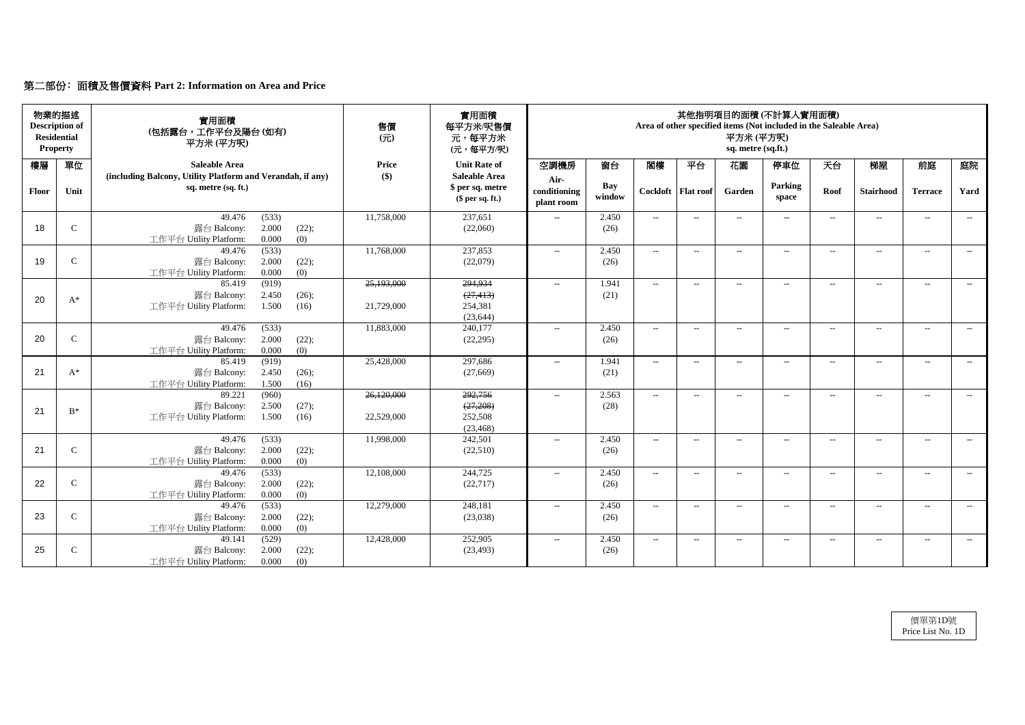# 第二部份﹕面積及售價資料 **Part 2: Information on Area and Price**

| 物業的描述<br><b>Description of</b><br><b>Residential</b><br><b>Property</b> |              | 實用面積<br>(包括露台,工作平台及陽台(如有)<br>平方米 (平方呎)                                            | 售價<br>$($ $\overrightarrow{\pi}$ $)$ | 實用面積<br>每平方米/呎售價<br>元,每平方米<br>(元,每平方/呎)                    | 其他指明項目的面積(不計算入實用面積)<br>Area of other specified items (Not included in the Saleable Area)<br>平方米(平方呎)<br>sq. metre (sq.ft.) |                      |        |                      |                          |                          |        |                   |                          |       |
|-------------------------------------------------------------------------|--------------|-----------------------------------------------------------------------------------|--------------------------------------|------------------------------------------------------------|----------------------------------------------------------------------------------------------------------------------------|----------------------|--------|----------------------|--------------------------|--------------------------|--------|-------------------|--------------------------|-------|
| 樓層                                                                      | 單位           | <b>Saleable Area</b>                                                              | <b>Price</b>                         | <b>Unit Rate of</b>                                        | 空調機房                                                                                                                       | 窗台                   | 閣樓     | 平台                   | 花園                       | 停車位                      | 天台     | 梯屋                | 前庭                       | 庭院    |
| <b>Floor</b>                                                            | Unit         | (including Balcony, Utility Platform and Verandah, if any)<br>sq. metre (sq. ft.) | $\left( \text{\$}\right)$            | <b>Saleable Area</b><br>\$ per sq. metre<br>\$per sq. ft.) | Air-<br>conditioning<br>plant room                                                                                         | <b>Bay</b><br>window |        | Cockloft   Flat roof | Garden                   | Parking<br>space         | Roof   | <b>Stairhood</b>  | <b>Terrace</b>           | Yard  |
|                                                                         |              | 49.476<br>(533)                                                                   | 11,758,000                           | 237,651                                                    | $- -$                                                                                                                      | 2.450                | $--$   | $--$                 | $\qquad \qquad -$        | $--$                     | $---$  | $\qquad \qquad -$ | $--$                     | $---$ |
| 18                                                                      | $\mathbf C$  | 2.000<br>露台 Balcony:<br>(22);<br>0.000<br>工作平台 Utility Platform:<br>(0)           |                                      | (22,060)                                                   |                                                                                                                            | (26)                 |        |                      |                          |                          |        |                   |                          |       |
|                                                                         |              | (533)<br>49.476                                                                   | 11,768,000                           | 237,853                                                    | $\mathcal{L}_{\mathcal{L}}$                                                                                                | 2.450                | $--$   | $--$                 | $--$                     | $ -$                     | $---$  | $---$             | $--$                     | $--$  |
| 19                                                                      | $\mathbf C$  | 2.000<br>(22);<br>露台 Balcony:                                                     |                                      | (22,079)                                                   |                                                                                                                            | (26)                 |        |                      |                          |                          |        |                   |                          |       |
|                                                                         |              | 工作平台 Utility Platform:<br>0.000<br>(0)                                            |                                      |                                                            |                                                                                                                            |                      |        |                      |                          |                          |        |                   |                          |       |
|                                                                         |              | (919)<br>85.419                                                                   | 25,193,000                           | 294,934                                                    | $---$                                                                                                                      | 1.941                | $--$   | $---$                | $--$                     | $\overline{\phantom{a}}$ | $--$   | $\qquad \qquad -$ | $--$                     | $--$  |
| 20                                                                      | $A^*$        | 露台 Balcony:<br>2.450<br>(26);                                                     |                                      | (27, 413)                                                  |                                                                                                                            | (21)                 |        |                      |                          |                          |        |                   |                          |       |
|                                                                         |              | 1.500<br>工作平台 Utility Platform:<br>(16)                                           | 21,729,000                           | 254,381<br>(23, 644)                                       |                                                                                                                            |                      |        |                      |                          |                          |        |                   |                          |       |
|                                                                         |              | (533)<br>49.476                                                                   | 11,883,000                           | 240,177                                                    | $- -$                                                                                                                      | 2.450                | $--$   | $-$                  | $-$                      | $---$                    | $-$    | $---$             | $---$                    | $---$ |
| 20                                                                      | $\mathbf C$  | 露台 Balcony:<br>2.000<br>(22);                                                     |                                      | (22, 295)                                                  |                                                                                                                            | (26)                 |        |                      |                          |                          |        |                   |                          |       |
|                                                                         |              | (0)<br>0.000<br>工作平台 Utility Platform:                                            |                                      |                                                            |                                                                                                                            |                      |        |                      |                          |                          |        |                   |                          |       |
|                                                                         |              | (919)<br>85.419                                                                   | 25,428,000                           | 297,686                                                    | $--$                                                                                                                       | 1.941                | $--$   | $---$                | $--$                     | $--$                     | $--$   | $\qquad \qquad -$ | $--$                     | $---$ |
| 21                                                                      | $A^*$        | 2.450<br>(26);<br>露台 Balcony:                                                     |                                      | (27,669)                                                   |                                                                                                                            | (21)                 |        |                      |                          |                          |        |                   |                          |       |
|                                                                         |              | 1.500<br>(16)<br>工作平台 Utility Platform:                                           |                                      |                                                            |                                                                                                                            |                      |        |                      |                          |                          |        |                   |                          |       |
|                                                                         |              | (960)<br>89.221                                                                   | 26,120,000                           | 292,756                                                    | $--$                                                                                                                       | 2.563                | $--$   | $--$                 | $--$                     | $--$                     | $--$   | $---$             | $--$                     | $---$ |
| 21                                                                      | $B^*$        | 2.500<br>露台 Balcony:<br>(27);                                                     |                                      | (27,208)                                                   |                                                                                                                            | (28)                 |        |                      |                          |                          |        |                   |                          |       |
|                                                                         |              | 工作平台 Utility Platform:<br>1.500<br>(16)                                           | 22,529,000                           | 252,508                                                    |                                                                                                                            |                      |        |                      |                          |                          |        |                   |                          |       |
|                                                                         |              | 49.476<br>(533)                                                                   | 11,998,000                           | (23, 468)<br>242,501                                       | $- -$                                                                                                                      | 2.450                | $-$    | $--$                 | $\rightarrow$            | $--$                     | $--$   | $\qquad \qquad -$ | $\overline{\phantom{a}}$ | $--$  |
| 21                                                                      | $\mathbf C$  | 2.000<br>露台 Balcony:<br>(22);                                                     |                                      | (22,510)                                                   |                                                                                                                            | (26)                 |        |                      |                          |                          |        |                   |                          |       |
|                                                                         |              | 0.000<br>工作平台 Utility Platform:<br>(0)                                            |                                      |                                                            |                                                                                                                            |                      |        |                      |                          |                          |        |                   |                          |       |
|                                                                         |              | 49.476<br>(533)                                                                   | 12,108,000                           | 244,725                                                    | $--$                                                                                                                       | 2.450                | $  \,$ | $--$                 | $\overline{\phantom{a}}$ | $---$                    | $- \,$ | $--$              | $--$                     | $--$  |
| 22                                                                      | $\mathsf{C}$ | 露台 Balcony:<br>2.000<br>(22);                                                     |                                      | (22, 717)                                                  |                                                                                                                            | (26)                 |        |                      |                          |                          |        |                   |                          |       |
|                                                                         |              | 0.000<br>工作平台 Utility Platform:<br>(0)                                            |                                      |                                                            |                                                                                                                            |                      |        |                      |                          |                          |        |                   |                          |       |
|                                                                         |              | 49.476<br>(533)                                                                   | 12,279,000                           | 248,181                                                    | $- -$                                                                                                                      | 2.450                | $--$   | $--$                 | $\qquad \qquad -$        | $--$                     | $---$  | $--$              | $--$                     | $--$  |
| 23                                                                      | $\mathsf{C}$ | 露台 Balcony:<br>2.000<br>(22);                                                     |                                      | (23,038)                                                   |                                                                                                                            | (26)                 |        |                      |                          |                          |        |                   |                          |       |
|                                                                         |              | 0.000<br>工作平台 Utility Platform:<br>(0)                                            |                                      |                                                            |                                                                                                                            |                      |        |                      |                          |                          |        |                   |                          |       |
|                                                                         |              | (529)<br>49.141                                                                   | 12,428,000                           | 252,905                                                    | $- -$                                                                                                                      | 2.450                | $\sim$ | $--$                 | $--$                     | $--$                     | $--$   | $--$              | $--$                     | $--$  |
| 25                                                                      | $\mathsf{C}$ | 2.000<br>(22);<br>露台 Balcony:                                                     |                                      | (23, 493)                                                  |                                                                                                                            | (26)                 |        |                      |                          |                          |        |                   |                          |       |
|                                                                         |              | 工作平台 Utility Platform:<br>0.000<br>(0)                                            |                                      |                                                            |                                                                                                                            |                      |        |                      |                          |                          |        |                   |                          |       |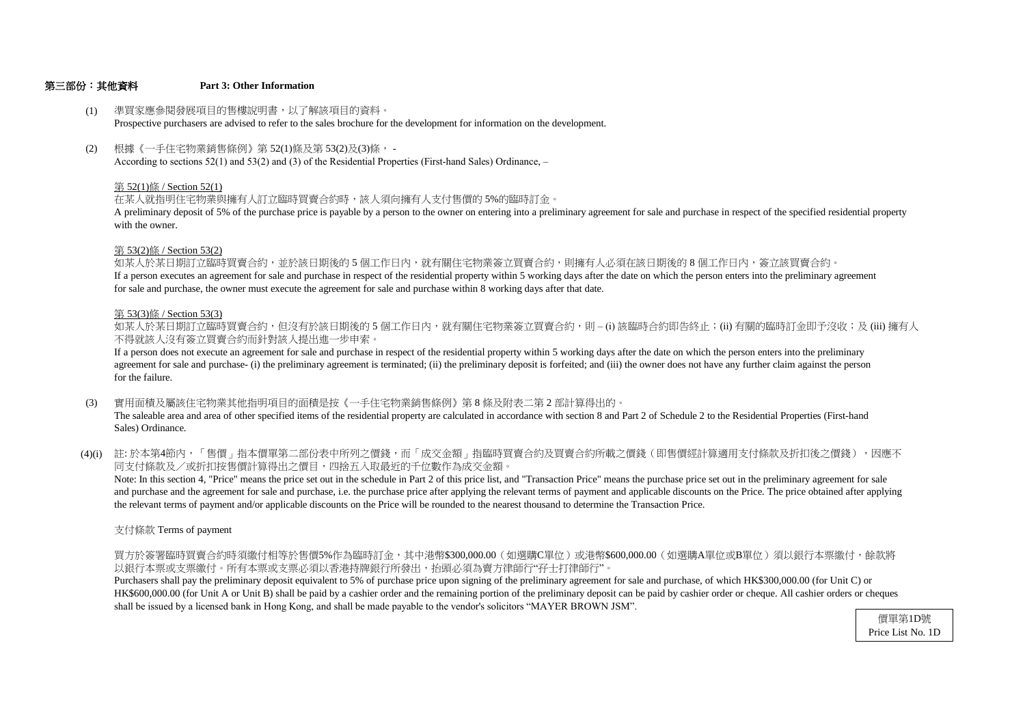## 第三部份:其他資料 **Part 3: Other Information**

支付條款 Terms of payment

以銀行本票或支票繳付。所有本票或支票必須以香港持牌銀行所發出,抬頭必須為賣方律師行"孖士打律師行"。 買方於簽署臨時買賣合約時須繳付相等於售價5%作為臨時訂金,其中港幣\$300,000.00(如選購C單位)或港幣\$600,000.00(如選購A單位或B單位)須以銀行本票繳付,餘款將

shall be issued by a licensed bank in Hong Kong, and shall be made payable to the vendor's solicitors "MAYER BROWN JSM". HK\$600,000.00 (for Unit A or Unit B) shall be paid by a cashier order and the remaining portion of the preliminary deposit can be paid by cashier order or cheque. All cashier orders or cheques Purchasers shall pay the preliminary deposit equivalent to 5% of purchase price upon signing of the preliminary agreement for sale and purchase, of which HK\$300,000.00 (for Unit C) or

# 第 53(3)條 / Section 53(3)

- (3) 實用面積及屬該住宅物業其他指明項目的面積是按《一手住宅物業銷售條例》第 8 條及附表二第 2 部計算得出的。 The saleable area and area of other specified items of the residential property are calculated in accordance with section 8 and Part 2 of Schedule 2 to the Residential Properties (First-hand Sales) Ordinance.
- (4)(i) 註:於本第4節內,「售價」指本價單第二部份表中所列之價錢,而「成交金額」指臨時買賣合約及買賣合約所載之價錢(即售價經計算適用支付條款及折扣後之價錢),因應不 同支付條款及/或折扣按售價計算得出之價目,四捨五入取最近的千位數作為成交金額。

不得就該人沒有簽立買賣合約而針對該人提出進一步申索。 如某人於某日期訂立臨時買賣合約,但沒有於該日期後的 5 個工作日内,就有關住宅物業簽立買賣合約,則 – (i) 該臨時合約即告終止;(ii) 有關的臨時訂金即予沒收;及 (iii) 擁有人

for sale and purchase, the owner must execute the agreement for sale and purchase within 8 working days after that date. If a person executes an agreement for sale and purchase in respect of the residential property within 5 working days after the date on which the person enters into the preliminary agreement 如某人於某日期訂立臨時買賣合約,並於該日期後的 5 個工作日內,就有關住宅物業簽立買賣合約,則擁有人必須在該日期後的 8 個工作日内,簽立該買賣合約。

the relevant terms of payment and/or applicable discounts on the Price will be rounded to the nearest thousand to determine the Transaction Price. and purchase and the agreement for sale and purchase, i.e. the purchase price after applying the relevant terms of payment and applicable discounts on the Price. The price obtained after applying Note: In this section 4, "Price" means the price set out in the schedule in Part 2 of this price list, and "Transaction Price" means the purchase price set out in the preliminary agreement for sale

- (1) 準買家應參閱發展項目的售樓說明書,以了解該項目的資料。 Prospective purchasers are advised to refer to the sales brochure for the development for information on the development.
- (2) 根據《一手住宅物業銷售條例》第 52(1)條及第 53(2)及(3)條, - According to sections 52(1) and 53(2) and (3) of the Residential Properties (First-hand Sales) Ordinance, –

for the failure. agreement for sale and purchase- (i) the preliminary agreement is terminated; (ii) the preliminary deposit is forfeited; and (iii) the owner does not have any further claim against the person If a person does not execute an agreement for sale and purchase in respect of the residential property within 5 working days after the date on which the person enters into the preliminary

# 第 53(2)條 / Section 53(2)

with the owner. A preliminary deposit of 5% of the purchase price is payable by a person to the owner on entering into a preliminary agreement for sale and purchase in respect of the specified residential property

# 第 52(1)條 / Section 52(1)

在某人就指明住宅物業與擁有人訂立臨時買賣合約時,該人須向擁有人支付售價的 5%的臨時訂金。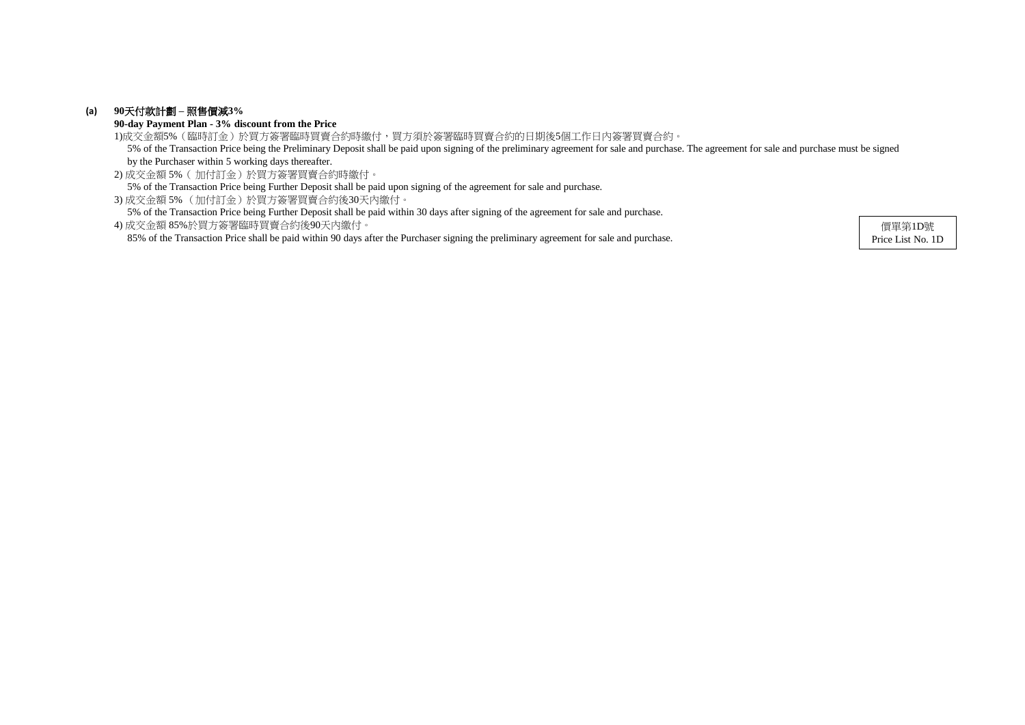# **(a) 90**天付款計劃 **–** 照售價減**3%**

**90-day Payment Plan - 3% discount from the Price**

2) 成交金額 5%( 加付訂金)於買方簽署買賣合約時繳付。 5% of the Transaction Price being Further Deposit shall be paid upon signing of the agreement for sale and purchase.

3) 成交金額 5% (加付訂金)於買方簽署買賣合約後30天內繳付。

5% of the Transaction Price being Further Deposit shall be paid within 30 days after signing of the agreement for sale and purchase.

1)成交金額5%(臨時訂金)於買方簽署臨時買賣合約時繳付,買方須於簽署臨時買賣合約的日期後5個工作日內簽署買賣合約。 5% of the Transaction Price being the Preliminary Deposit shall be paid upon signing of the preliminary agreement for sale and purchase. The agreement for sale and purchase must be signed by the Purchaser within 5 working days thereafter.

4) 成交金額 85%於買方簽署臨時買賣合約後90天內繳付。 85% of the Transaction Price shall be paid within 90 days after the Purchaser signing the preliminary agreement for sale and purchase.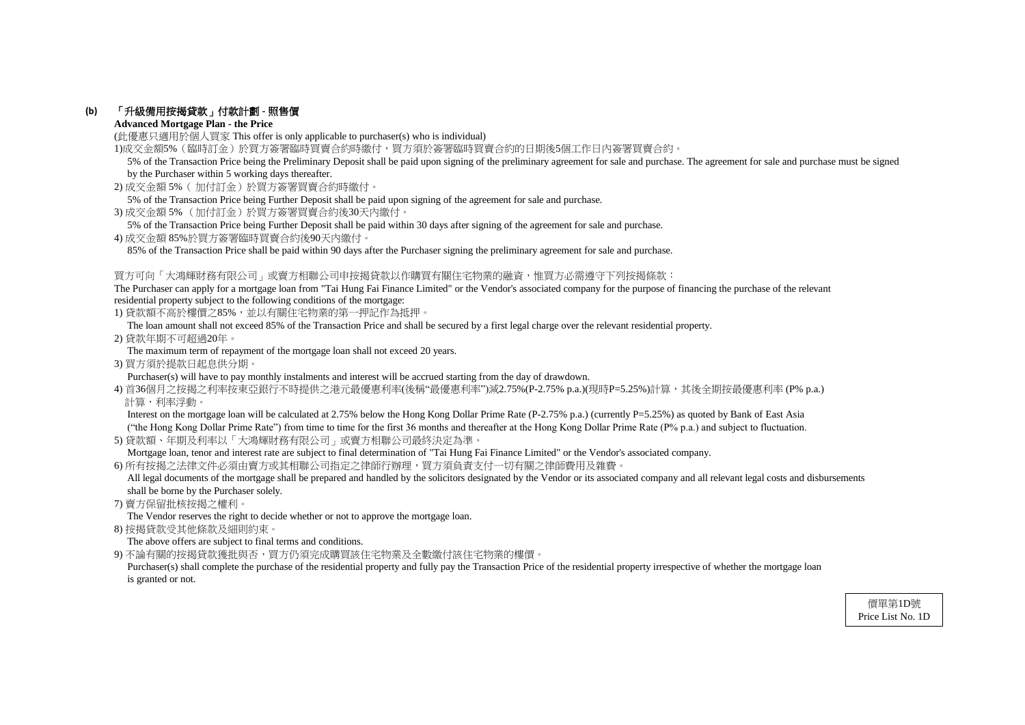# **(b)** 「升級備用按揭貸款」付款計劃 **-** 照售價

# **Advanced Mortgage Plan - the Price**

(此優惠只適用於個人買家 This offer is only applicable to purchaser(s) who is individual)

1)成交金額5%(臨時訂金)於買方簽署臨時買賣合約時繳付,買方須於簽署臨時買賣合約的日期後5個工作日內簽署買賣合約。

- 2) 成交金額 5%( 加付訂金)於買方簽署買賣合約時繳付。
- 5% of the Transaction Price being Further Deposit shall be paid upon signing of the agreement for sale and purchase.
- 3) 成交金額 5% (加付訂金)於買方簽署買賣合約後30天內繳付。
- 5% of the Transaction Price being Further Deposit shall be paid within 30 days after signing of the agreement for sale and purchase.
- 4) 成交金額 85%於買方簽署臨時買賣合約後90天內繳付。

85% of the Transaction Price shall be paid within 90 days after the Purchaser signing the preliminary agreement for sale and purchase.

# 買方可向「大鴻輝財務有限公司」或賣方相聯公司申按揭貸款以作購買有關住宅物業的融資,惟買方必需遵守下列按揭條款:

The Purchaser can apply for a mortgage loan from "Tai Hung Fai Finance Limited" or the Vendor's associated company for the purpose of financing the purchase of the relevant residential property subject to the following conditions of the mortgage:

1) 貸款額不高於樓價之85%,並以有關住宅物業的第一押記作為抵押。

Interest on the mortgage loan will be calculated at 2.75% below the Hong Kong Dollar Prime Rate (P-2.75% p.a.) (currently P=5.25%) as quoted by Bank of East Asia ("the Hong Kong Dollar Prime Rate") from time to time for the first 36 months and thereafter at the Hong Kong Dollar Prime Rate (P% p.a.) and subject to fluctuation.

The loan amount shall not exceed 85% of the Transaction Price and shall be secured by a first legal charge over the relevant residential property.

All legal documents of the mortgage shall be prepared and handled by the solicitors designated by the Vendor or its associated company and all relevant legal costs and disbursements shall be borne by the Purchaser solely.

2) 貸款年期不可超過20年。

The maximum term of repayment of the mortgage loan shall not exceed 20 years.

3) 買方須於提款日起息供分期。

Purchaser(s) will have to pay monthly instalments and interest will be accrued starting from the day of drawdown.

4) 首36個月之按揭之利率按東亞銀行不時提供之港元最優惠利率(後稱"最優惠利率")減2.75%(P-2.75% p.a.)(現時P=5.25%)計算,其後全期按最優惠利率 (P% p.a.) 計算,利率浮動。

Purchaser(s) shall complete the purchase of the residential property and fully pay the Transaction Price of the residential property irrespective of whether the mortgage loan is granted or not.

5) 貸款額、年期及利率以「大鴻輝財務有限公司」或賣方相聯公司最終決定為準。

Mortgage loan, tenor and interest rate are subject to final determination of "Tai Hung Fai Finance Limited" or the Vendor's associated company.

6) 所有按揭之法律文件必須由賣方或其相聯公司指定之律師行辦理,買方須負責支付一切有關之律師費用及雜費。

7) 賣方保留批核按揭之權利。

The Vendor reserves the right to decide whether or not to approve the mortgage loan.

8) 按揭貸款受其他條款及細則約束。

The above offers are subject to final terms and conditions.

9) 不論有關的按揭貸款獲批與否,買方仍須完成購買該住宅物業及全數繳付該住宅物業的樓價。

 5% of the Transaction Price being the Preliminary Deposit shall be paid upon signing of the preliminary agreement for sale and purchase. The agreement for sale and purchase must be signed by the Purchaser within 5 working days thereafter.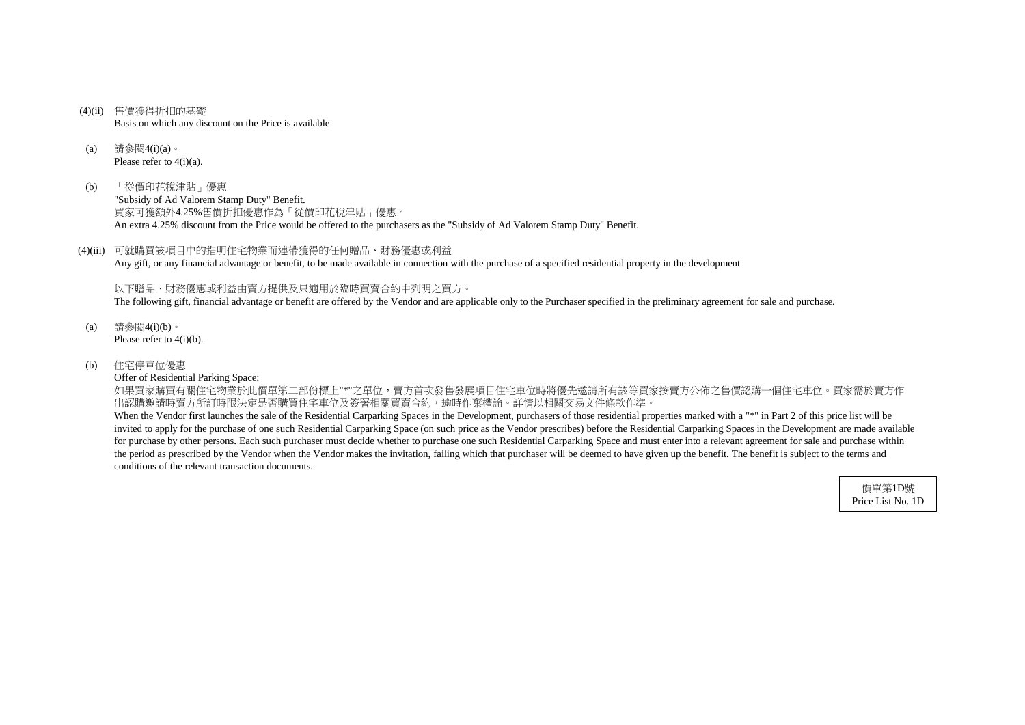- (4)(ii) 售價獲得折扣的基礎 Basis on which any discount on the Price is available
- (a) 請參閱4(i)(a)。 Please refer to 4(i)(a).
- (b) 「從價印花稅津貼」優惠

"Subsidy of Ad Valorem Stamp Duty" Benefit. 買家可獲額外4.25%售價折扣優惠作為「從價印花稅津貼」優惠。 An extra 4.25% discount from the Price would be offered to the purchasers as the "Subsidy of Ad Valorem Stamp Duty" Benefit.

(4)(iii) 可就購買該項目中的指明住宅物業而連帶獲得的任何贈品、財務優惠或利益 Any gift, or any financial advantage or benefit, to be made available in connection with the purchase of a specified residential property in the development

如果買家購買有關住宅物業於此價單第二部份標上"\*"之單位,賣方首次發售發展項目住宅車位時將優先邀請所有該等買家按賣方公佈之售價認購一個住宅車位。買家需於賣方作 出認購邀請時賣方所訂時限決定是否購買住宅車位及簽署相關買賣合約,逾時作棄權論。詳情以相關交易文件條款作準。

以下贈品、財務優惠或利益由賣方提供及只適用於臨時買賣合約中列明之買方。 The following gift, financial advantage or benefit are offered by the Vendor and are applicable only to the Purchaser specified in the preliminary agreement for sale and purchase.

- (a) 請參閱4(i)(b)。 Please refer to 4(i)(b).
- (b) 住宅停車位優惠

Offer of Residential Parking Space:

When the Vendor first launches the sale of the Residential Carparking Spaces in the Development, purchasers of those residential properties marked with a "\*" in Part 2 of this price list will be invited to apply for the purchase of one such Residential Carparking Space (on such price as the Vendor prescribes) before the Residential Carparking Spaces in the Development are made available for purchase by other persons. Each such purchaser must decide whether to purchase one such Residential Carparking Space and must enter into a relevant agreement for sale and purchase within the period as prescribed by the Vendor when the Vendor makes the invitation, failing which that purchaser will be deemed to have given up the benefit. The benefit is subject to the terms and conditions of the relevant transaction documents.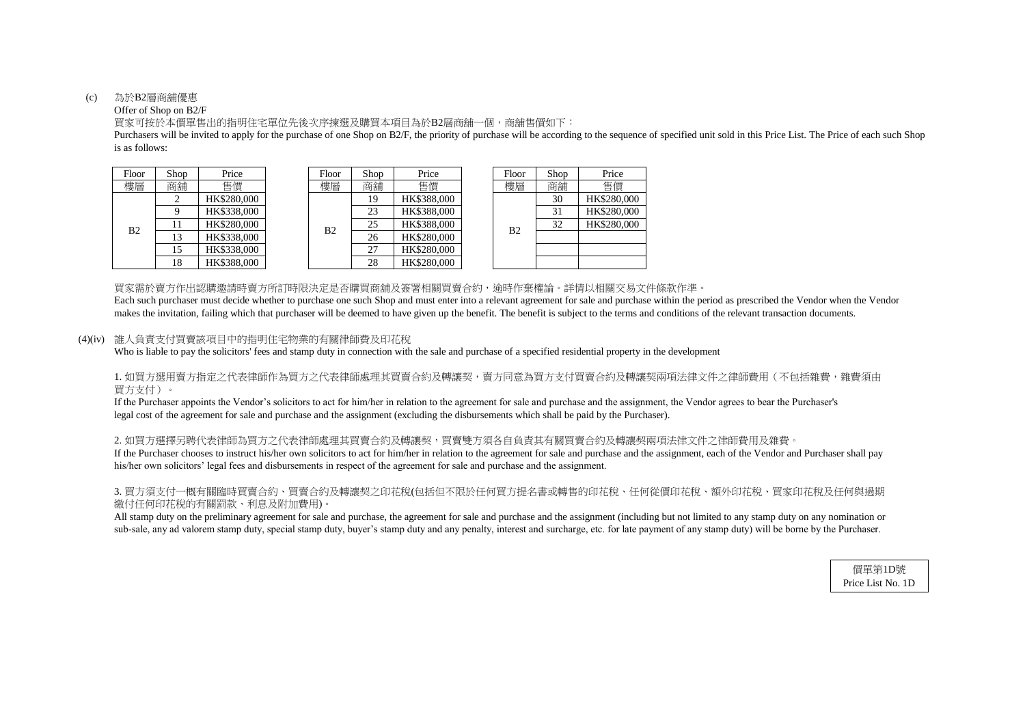#### (c) 為於B2層商舖優惠

## Offer of Shop on B2/F

is as follows: Purchasers will be invited to apply for the purchase of one Shop on B2/F, the priority of purchase will be according to the sequence of specified unit sold in this Price List. The Price of each such Shop

買家可按於本價單售出的指明住宅單位先後次序揀選及購買本項目為於B2層商舖一個,商舖售價如下:

| hop            | Price       |  | Floor | Shop              | Price       |  | Floor          | Shop | Price       |
|----------------|-------------|--|-------|-------------------|-------------|--|----------------|------|-------------|
| 角铺             | 售價          |  | 樓層    | 商舖                | 售價          |  | 樓層             | 商舖   | 售價          |
| $\overline{2}$ | HK\$280,000 |  |       | 19                | HK\$388,000 |  |                | 30   | HK\$280,000 |
| 9              | HK\$338,000 |  |       | 23                | HK\$388,000 |  |                | 31   | HK\$280,000 |
| 11             | HK\$280,000 |  | B2    | 25                | HK\$388,000 |  | B <sub>2</sub> | 32   | HK\$280,000 |
| 13             | HK\$338,000 |  |       | 26                | HK\$280,000 |  |                |      |             |
| 15             | HK\$338,000 |  |       | 27<br>HK\$280,000 |             |  |                |      |             |
| 18             | HK\$388,000 |  |       | 28                | HK\$280,000 |  |                |      |             |

| Floor          | Shop | Price       |
|----------------|------|-------------|
| 建區             | 商舖   | 售價          |
|                | 30   | HK\$280,000 |
|                | 31   | HK\$280,000 |
| B <sub>2</sub> | 32   | HK\$280,000 |
|                |      |             |
|                |      |             |
|                |      |             |

買家需於賣方作出認購邀請時賣方所訂時限決定是否購買商舖及簽署相關買賣合約,逾時作棄權論。詳情以相關交易文件條款作準。

1. 如買方選用賣方指定之代表律師作為買方之代表律師處理其買賣合約及轉讓契,賣方同意為買方支付買賣合約及轉讓契兩項法律文件之律師費用(不包括雜費,雜費須由 買方支付)。

## (4)(iv) 誰人負責支付買賣該項目中的指明住宅物業的有關律師費及印花稅

Who is liable to pay the solicitors' fees and stamp duty in connection with the sale and purchase of a specified residential property in the development

2. 如買方選擇另聘代表律師為買方之代表律師處理其買賣合約及轉讓契,買賣雙方須各自負責其有關買賣合約及轉讓契兩項法律文件之律師費用及雜費。 If the Purchaser chooses to instruct his/her own solicitors to act for him/her in relation to the agreement for sale and purchase and the assignment, each of the Vendor and Purchaser shall pay his/her own solicitors' legal fees and disbursements in respect of the agreement for sale and purchase and the assignment.

# 3. 買方須支付一概有關臨時買賣合約、買賣合約及轉讓契之印花稅(包括但不限於任何買方提名書或轉售的印花稅、任何從價印花稅、額外印花稅、買家印花稅及任何與過期 繳付任何印花稅的有關罰款、利息及附加費用)。

All stamp duty on the preliminary agreement for sale and purchase, the agreement for sale and purchase and the assignment (including but not limited to any stamp duty on any nomination or sub-sale, any ad valorem stamp duty, special stamp duty, buyer's stamp duty and any penalty, interest and surcharge, etc. for late payment of any stamp duty) will be borne by the Purchaser.

| Floor | Shop | Price       |  | Floor | Shop | Price       |             | Floor          | Shop | Price    |          |
|-------|------|-------------|--|-------|------|-------------|-------------|----------------|------|----------|----------|
| 樓層    | 商舖   | 售價          |  | 樓層    | 商舖   | 售價          |             | 樓層             | 商舖   | 售價       |          |
|       |      | HK\$280,000 |  | B2    |      |             | HK\$388,000 |                |      | 30       | HK\$280, |
|       |      | HK\$338,000 |  |       | 23   | HK\$388,000 |             | B <sub>2</sub> | 31   | HK\$280, |          |
| B2    |      | HK\$280,000 |  |       | 25   | HK\$388,000 |             |                | 32   | HK\$280. |          |
|       | 13   | HK\$338,000 |  |       | 26   | HK\$280,000 |             |                |      |          |          |
|       | 15   | HK\$338,000 |  |       | 27   | HK\$280,000 |             |                |      |          |          |
|       |      | HK\$388,000 |  |       | 28   | HK\$280,000 |             |                |      |          |          |

makes the invitation, failing which that purchaser will be deemed to have given up the benefit. The benefit is subject to the terms and conditions of the relevant transaction documents. Each such purchaser must decide whether to purchase one such Shop and must enter into a relevant agreement for sale and purchase within the period as prescribed the Vendor when the Vendor

legal cost of the agreement for sale and purchase and the assignment (excluding the disbursements which shall be paid by the Purchaser). If the Purchaser appoints the Vendor's solicitors to act for him/her in relation to the agreement for sale and purchase and the assignment, the Vendor agrees to bear the Purchaser's